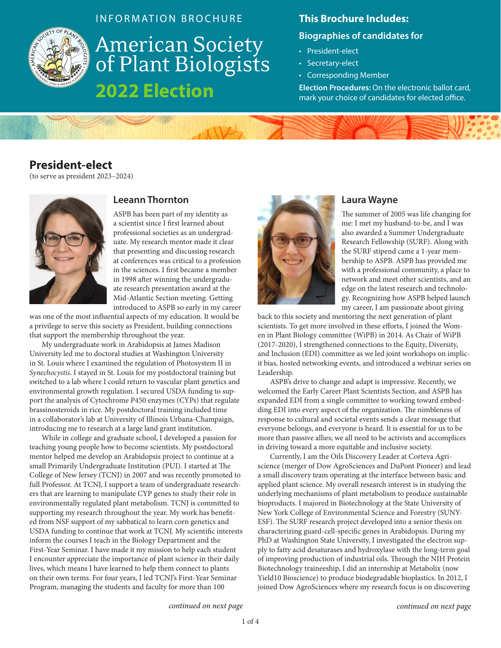

### INFORMATION BROCHURE

**American Society<br>of Plant Biologists 2022 Election**

#### **This Brochure Includes:**

#### **Biographies of candidates for**

- President-elect
- Secretary-elect
- Corresponding Member

**Election Procedures:** On the electronic ballot card, mark your choice of candidates for elected office.

# **President-elect**

(to serve as president 2023–2024)



## **Leeann Thornton**

ASPB has been part of my identity as a scientist since I first learned about professional societies as an undergraduate. My research mentor made it clear that presenting and discussing research at conferences was critical to a profession in the sciences. I first became a member in 1998 after winning the undergraduate research presentation award at the Mid-Atlantic Section meeting. Getting introduced to ASPB so early in my career

was one of the most influential aspects of my education. It would be a privilege to serve this society as President, building connections that support the membership throughout the year.

My undergraduate work in Arabidopsis at James Madison University led me to doctoral studies at Washington University in St. Louis where I examined the regulation of Photosystem II in *Synechocystis*. I stayed in St. Louis for my postdoctoral training but switched to a lab where I could return to vascular plant genetics and environmental growth regulation. I secured USDA funding to support the analysis of Cytochrome P450 enzymes (CYPs) that regulate brassinosteroids in rice. My postdoctoral training included time in a collaborator's lab at University of Illinois Urbana-Champaign, introducing me to research at a large land grant institution.

While in college and graduate school, I developed a passion for teaching young people how to become scientists. My postdoctoral mentor helped me develop an Arabidopsis project to continue at a small Primarily Undergraduate Institution (PUI). I started at The College of New Jersey (TCNJ) in 2007 and was recently promoted to full Professor. At TCNJ, I support a team of undergraduate researchers that are learning to manipulate CYP genes to study their role in environmentally regulated plant metabolism. TCNJ is committed to supporting my research throughout the year. My work has benefited from NSF support of my sabbatical to learn corn genetics and USDA funding to continue that work at TCNJ. My scientific interests inform the courses I teach in the Biology Department and the First-Year Seminar. I have made it my mission to help each student I encounter appreciate the importance of plant science in their daily lives, which means I have learned to help them connect to plants on their own terms. For four years, I led TCNJ's First-Year Seminar Program, managing the students and faculty for more than 100



### **Laura Wayne**

The summer of 2005 was life changing for me: I met my husband-to-be, and I was also awarded a Summer Undergraduate Research Fellowship (SURF). Along with the SURF stipend came a 1-year membership to ASPB. ASPB has provided me with a professional community, a place to network and meet other scientists, and an edge on the latest research and technology. Recognizing how ASPB helped launch my career, I am passionate about giving

back to this society and mentoring the next generation of plant scientists. To get more involved in these efforts, I joined the Women in Plant Biology committee (WiPB) in 2014. As Chair of WiPB (2017-2020), I strengthened connections to the Equity, Diversity, and Inclusion (EDI) committee as we led joint workshops on implicit bias, hosted networking events, and introduced a webinar series on Leadership.

ASPB's drive to change and adapt is impressive. Recently, we welcomed the Early Career Plant Scientists Section, and ASPB has expanded EDI from a single committee to working toward embedding EDI into every aspect of the organization. The nimbleness of response to cultural and societal events sends a clear message that everyone belongs, and everyone is heard. It is essential for us to be more than passive allies; we all need to be activists and accomplices in driving toward a more equitable and inclusive society.

Currently, I am the Oils Discovery Leader at Corteva Agriscience (merger of Dow AgroSciences and DuPont Pioneer) and lead a small discovery team operating at the interface between basic and applied plant science. My overall research interest is in studying the underlying mechanisms of plant metabolism to produce sustainable bioproducts. I majored in Biotechnology at the State University of New York College of Environmental Science and Forestry (SUNY-ESF). The SURF research project developed into a senior thesis on characterizing guard-cell-specific genes in Arabidopsis. During my PhD at Washington State University, I investigated the electron supply to fatty acid desaturases and hydroxylase with the long-term goal of improving production of industrial oils. Through the NIH Protein Biotechnology traineeship, I did an internship at Metabolix (now Yield10 Bioscience) to produce biodegradable bioplastics. In 2012, I joined Dow AgroSciences where my research focus is on discovering

*continued on next page continued on next page*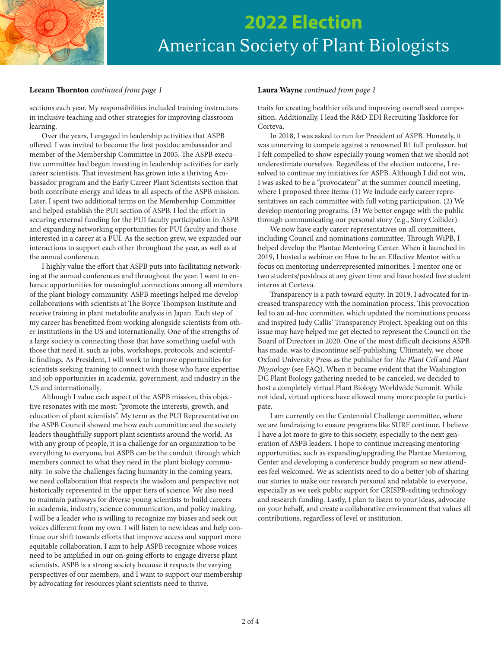

# **2022 Election** American Society of Plant Biologists

#### **Leeann Thornton** *continued from page 1* **Laura Wayne** *continued from page 1*

sections each year. My responsibilities included training instructors in inclusive teaching and other strategies for improving classroom learning.

Over the years, I engaged in leadership activities that ASPB offered. I was invited to become the first postdoc ambassador and member of the Membership Committee in 2005. The ASPB executive committee had begun investing in leadership activities for early career scientists. That investment has grown into a thriving Ambassador program and the Early Career Plant Scientists section that both contribute energy and ideas to all aspects of the ASPB mission. Later, I spent two additional terms on the Membership Committee and helped establish the PUI section of ASPB. I led the effort in securing external funding for the PUI faculty participation in ASPB and expanding networking opportunities for PUI faculty and those interested in a career at a PUI. As the section grew, we expanded our interactions to support each other throughout the year, as well as at the annual conference.

I highly value the effort that ASPB puts into facilitating networking at the annual conferences and throughout the year. I want to enhance opportunities for meaningful connections among all members of the plant biology community. ASPB meetings helped me develop collaborations with scientists at The Boyce Thompson Institute and receive training in plant metabolite analysis in Japan. Each step of my career has benefitted from working alongside scientists from other institutions in the US and internationally. One of the strengths of a large society is connecting those that have something useful with those that need it, such as jobs, workshops, protocols, and scientific findings. As President, I will work to improve opportunities for scientists seeking training to connect with those who have expertise and job opportunities in academia, government, and industry in the US and internationally.

Although I value each aspect of the ASPB mission, this objective resonates with me most: "promote the interests, growth, and education of plant scientists". My term as the PUI Representative on the ASPB Council showed me how each committee and the society leaders thoughtfully support plant scientists around the world. As with any group of people, it is a challenge for an organization to be everything to everyone, but ASPB can be the conduit through which members connect to what they need in the plant biology community. To solve the challenges facing humanity in the coming years, we need collaboration that respects the wisdom and perspective not historically represented in the upper tiers of science. We also need to maintain pathways for diverse young scientists to build careers in academia, industry, science communication, and policy making. I will be a leader who is willing to recognize my biases and seek out voices different from my own. I will listen to new ideas and help continue our shift towards efforts that improve access and support more equitable collaboration. I aim to help ASPB recognize whose voices need to be amplified in our on-going efforts to engage diverse plant scientists. ASPB is a strong society because it respects the varying perspectives of our members, and I want to support our membership by advocating for resources plant scientists need to thrive.

traits for creating healthier oils and improving overall seed composition. Additionally, I lead the R&D EDI Recruiting Taskforce for Corteva.

In 2018, I was asked to run for President of ASPB. Honestly, it was unnerving to compete against a renowned R1 full professor, but I felt compelled to show especially young women that we should not underestimate ourselves. Regardless of the election outcome, I resolved to continue my initiatives for ASPB. Although I did not win, I was asked to be a "provocateur" at the summer council meeting, where I proposed three items: (1) We include early career representatives on each committee with full voting participation. (2) We develop mentoring programs. (3) We better engage with the public through communicating our personal story (e.g., Story Collider).

We now have early career representatives on all committees, including Council and nominations committee. Through WiPB, I helped develop the Plantae Mentoring Center. When it launched in 2019, I hosted a webinar on How to be an Effective Mentor with a focus on mentoring underrepresented minorities. I mentor one or two students/postdocs at any given time and have hosted five student interns at Corteva.

Transparency is a path toward equity. In 2019, I advocated for increased transparency with the nomination process. This provocation led to an ad-hoc committee, which updated the nominations process and inspired Judy Callis' Transparency Project. Speaking out on this issue may have helped me get elected to represent the Council on the Board of Directors in 2020. One of the most difficult decisions ASPB has made, was to discontinue self-publishing. Ultimately, we chose Oxford University Press as the publisher for *The Plant Cell* and *Plant Physiology* (see FAQ). When it became evident that the Washington DC Plant Biology gathering needed to be canceled, we decided to host a completely virtual Plant Biology Worldwide Summit. While not ideal, virtual options have allowed many more people to participate.

I am currently on the Centennial Challenge committee, where we are fundraising to ensure programs like SURF continue. I believe I have a lot more to give to this society, especially to the next generation of ASPB leaders. I hope to continue increasing mentoring opportunities, such as expanding/upgrading the Plantae Mentoring Center and developing a conference buddy program so new attendees feel welcomed. We as scientists need to do a better job of sharing our stories to make our research personal and relatable to everyone, especially as we seek public support for CRISPR-editing technology and research funding. Lastly, I plan to listen to your ideas, advocate on your behalf, and create a collaborative environment that values all contributions, regardless of level or institution.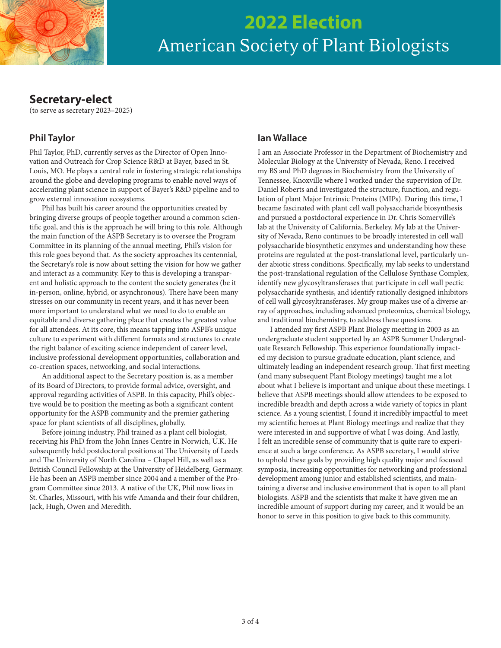

# **2022 Election** American Society of Plant Biologists

# **Secretary-elect**

(to serve as secretary 2023–2025)

# **Phil Taylor**

Phil Taylor, PhD, currently serves as the Director of Open Innovation and Outreach for Crop Science R&D at Bayer, based in St. Louis, MO. He plays a central role in fostering strategic relationships around the globe and developing programs to enable novel ways of accelerating plant science in support of Bayer's R&D pipeline and to grow external innovation ecosystems.

Phil has built his career around the opportunities created by bringing diverse groups of people together around a common scientific goal, and this is the approach he will bring to this role. Although the main function of the ASPB Secretary is to oversee the Program Committee in its planning of the annual meeting, Phil's vision for this role goes beyond that. As the society approaches its centennial, the Secretary's role is now about setting the vision for how we gather and interact as a community. Key to this is developing a transparent and holistic approach to the content the society generates (be it in-person, online, hybrid, or asynchronous). There have been many stresses on our community in recent years, and it has never been more important to understand what we need to do to enable an equitable and diverse gathering place that creates the greatest value for all attendees. At its core, this means tapping into ASPB's unique culture to experiment with different formats and structures to create the right balance of exciting science independent of career level, inclusive professional development opportunities, collaboration and co-creation spaces, networking, and social interactions.

An additional aspect to the Secretary position is, as a member of its Board of Directors, to provide formal advice, oversight, and approval regarding activities of ASPB. In this capacity, Phil's objective would be to position the meeting as both a significant content opportunity for the ASPB community and the premier gathering space for plant scientists of all disciplines, globally.

Before joining industry, Phil trained as a plant cell biologist, receiving his PhD from the John Innes Centre in Norwich, U.K. He subsequently held postdoctoral positions at The University of Leeds and The University of North Carolina – Chapel Hill, as well as a British Council Fellowship at the University of Heidelberg, Germany. He has been an ASPB member since 2004 and a member of the Program Committee since 2013. A native of the UK, Phil now lives in St. Charles, Missouri, with his wife Amanda and their four children, Jack, Hugh, Owen and Meredith.

### **Ian Wallace**

I am an Associate Professor in the Department of Biochemistry and Molecular Biology at the University of Nevada, Reno. I received my BS and PhD degrees in Biochemistry from the University of Tennessee, Knoxville where I worked under the supervision of Dr. Daniel Roberts and investigated the structure, function, and regulation of plant Major Intrinsic Proteins (MIPs). During this time, I became fascinated with plant cell wall polysaccharide biosynthesis and pursued a postdoctoral experience in Dr. Chris Somerville's lab at the University of California, Berkeley. My lab at the University of Nevada, Reno continues to be broadly interested in cell wall polysaccharide biosynthetic enzymes and understanding how these proteins are regulated at the post-translational level, particularly under abiotic stress conditions. Specifically, my lab seeks to understand the post-translational regulation of the Cellulose Synthase Complex, identify new glycosyltransferases that participate in cell wall pectic polysaccharide synthesis, and identify rationally designed inhibitors of cell wall glycosyltransferases. My group makes use of a diverse array of approaches, including advanced proteomics, chemical biology, and traditional biochemistry, to address these questions.

I attended my first ASPB Plant Biology meeting in 2003 as an undergraduate student supported by an ASPB Summer Undergraduate Research Fellowship. This experience foundationally impacted my decision to pursue graduate education, plant science, and ultimately leading an independent research group. That first meeting (and many subsequent Plant Biology meetings) taught me a lot about what I believe is important and unique about these meetings. I believe that ASPB meetings should allow attendees to be exposed to incredible breadth and depth across a wide variety of topics in plant science. As a young scientist, I found it incredibly impactful to meet my scientific heroes at Plant Biology meetings and realize that they were interested in and supportive of what I was doing. And lastly, I felt an incredible sense of community that is quite rare to experience at such a large conference. As ASPB secretary, I would strive to uphold these goals by providing high quality major and focused symposia, increasing opportunities for networking and professional development among junior and established scientists, and maintaining a diverse and inclusive environment that is open to all plant biologists. ASPB and the scientists that make it have given me an incredible amount of support during my career, and it would be an honor to serve in this position to give back to this community.